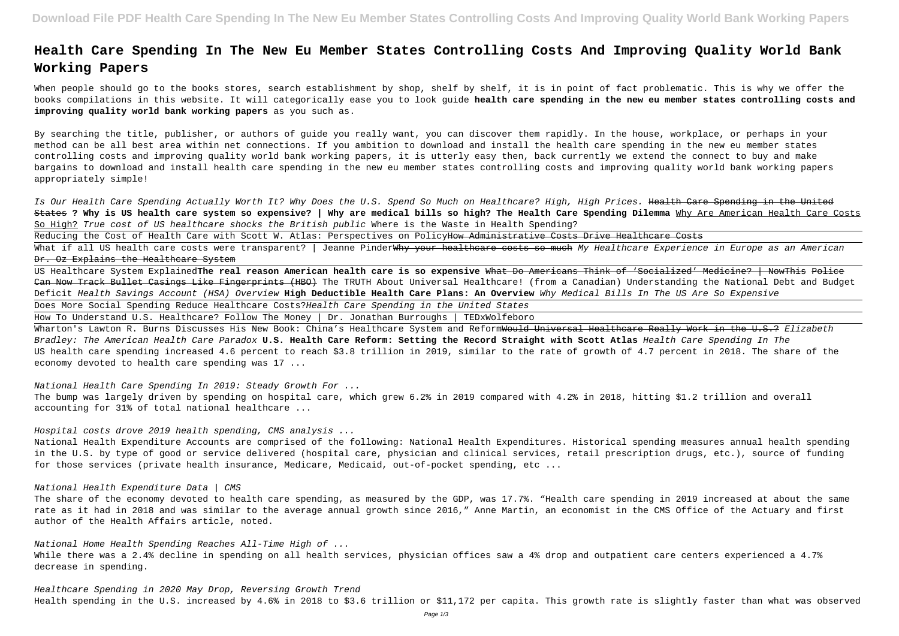# **Health Care Spending In The New Eu Member States Controlling Costs And Improving Quality World Bank Working Papers**

When people should go to the books stores, search establishment by shop, shelf by shelf, it is in point of fact problematic. This is why we offer the books compilations in this website. It will categorically ease you to look guide **health care spending in the new eu member states controlling costs and improving quality world bank working papers** as you such as.

Is Our Health Care Spending Actually Worth It? Why Does the U.S. Spend So Much on Healthcare? High, High Prices. Health Care Spending in the United States **? Why is US health care system so expensive? | Why are medical bills so high? The Health Care Spending Dilemma** Why Are American Health Care Costs So High? True cost of US healthcare shocks the British public Where is the Waste in Health Spending?

Reducing the Cost of Health Care with Scott W. Atlas: Perspectives on PolicyHow Administrative Costs Drive Healthcare Costs

By searching the title, publisher, or authors of guide you really want, you can discover them rapidly. In the house, workplace, or perhaps in your method can be all best area within net connections. If you ambition to download and install the health care spending in the new eu member states controlling costs and improving quality world bank working papers, it is utterly easy then, back currently we extend the connect to buy and make bargains to download and install health care spending in the new eu member states controlling costs and improving quality world bank working papers appropriately simple!

What if all US health care costs were transparent? | Jeanne Pinder<del>Why your healthcare costs so much</del> My Healt*hcare Experience in Europe as an American* Dr. Oz Explains the Healthcare System

Wharton's Lawton R. Burns Discusses His New Book: China's Healthcare System and Reform<del>Would Universal Healthcare Really Work in the U.S.?</del> Elizabeth Bradley: The American Health Care Paradox **U.S. Health Care Reform: Setting the Record Straight with Scott Atlas** Health Care Spending In The US health care spending increased 4.6 percent to reach \$3.8 trillion in 2019, similar to the rate of growth of 4.7 percent in 2018. The share of the economy devoted to health care spending was 17 ...

While there was a 2.4% decline in spending on all health services, physician offices saw a 4% drop and outpatient care centers experienced a 4.7% decrease in spending.

US Healthcare System Explained**The real reason American health care is so expensive** What Do Americans Think of 'Socialized' Medicine? | NowThis Police Can Now Track Bullet Casings Like Fingerprints (HBO) The TRUTH About Universal Healthcare! (from a Canadian) Understanding the National Debt and Budget Deficit Health Savings Account (HSA) Overview **High Deductible Health Care Plans: An Overview** Why Medical Bills In The US Are So Expensive Does More Social Spending Reduce Healthcare Costs?Health Care Spending in the United States

How To Understand U.S. Healthcare? Follow The Money | Dr. Jonathan Burroughs | TEDxWolfeboro

National Health Care Spending In 2019: Steady Growth For ...

The bump was largely driven by spending on hospital care, which grew 6.2% in 2019 compared with 4.2% in 2018, hitting \$1.2 trillion and overall accounting for 31% of total national healthcare ...

# Hospital costs drove 2019 health spending, CMS analysis ...

National Health Expenditure Accounts are comprised of the following: National Health Expenditures. Historical spending measures annual health spending in the U.S. by type of good or service delivered (hospital care, physician and clinical services, retail prescription drugs, etc.), source of funding for those services (private health insurance, Medicare, Medicaid, out-of-pocket spending, etc ...

# National Health Expenditure Data | CMS

The share of the economy devoted to health care spending, as measured by the GDP, was 17.7%. "Health care spending in 2019 increased at about the same rate as it had in 2018 and was similar to the average annual growth since 2016," Anne Martin, an economist in the CMS Office of the Actuary and first author of the Health Affairs article, noted.

National Home Health Spending Reaches All-Time High of ...

Healthcare Spending in 2020 May Drop, Reversing Growth Trend Health spending in the U.S. increased by 4.6% in 2018 to \$3.6 trillion or \$11,172 per capita. This growth rate is slightly faster than what was observed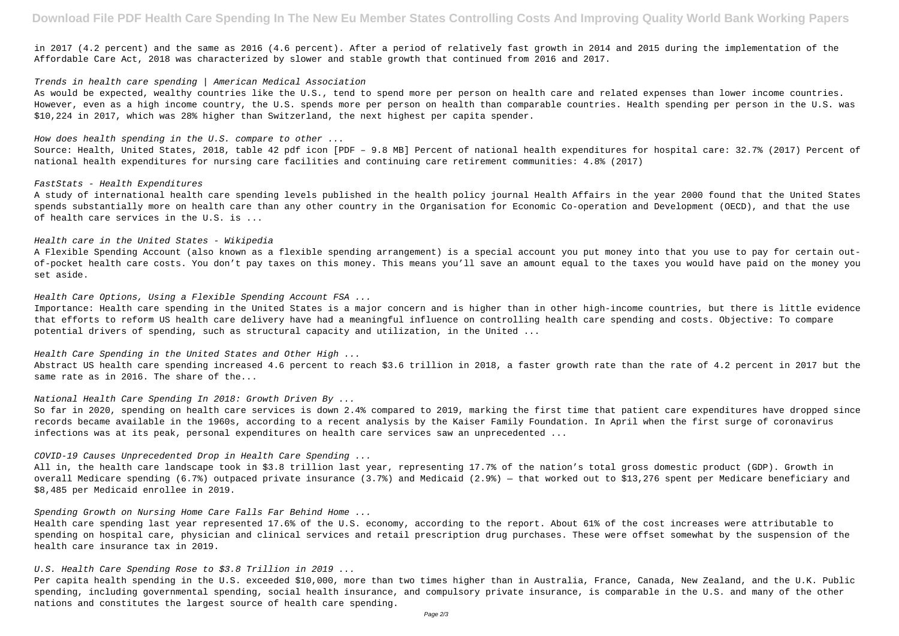in 2017 (4.2 percent) and the same as 2016 (4.6 percent). After a period of relatively fast growth in 2014 and 2015 during the implementation of the Affordable Care Act, 2018 was characterized by slower and stable growth that continued from 2016 and 2017.

# Trends in health care spending | American Medical Association

As would be expected, wealthy countries like the U.S., tend to spend more per person on health care and related expenses than lower income countries. However, even as a high income country, the U.S. spends more per person on health than comparable countries. Health spending per person in the U.S. was \$10,224 in 2017, which was 28% higher than Switzerland, the next highest per capita spender.

### How does health spending in the  $U.S.$  compare to other  $\ldots$

Source: Health, United States, 2018, table 42 pdf icon [PDF – 9.8 MB] Percent of national health expenditures for hospital care: 32.7% (2017) Percent of national health expenditures for nursing care facilities and continuing care retirement communities: 4.8% (2017)

### FastStats - Health Expenditures

A study of international health care spending levels published in the health policy journal Health Affairs in the year 2000 found that the United States spends substantially more on health care than any other country in the Organisation for Economic Co-operation and Development (OECD), and that the use of health care services in the U.S. is ...

## Health care in the United States - Wikipedia

A Flexible Spending Account (also known as a flexible spending arrangement) is a special account you put money into that you use to pay for certain outof-pocket health care costs. You don't pay taxes on this money. This means you'll save an amount equal to the taxes you would have paid on the money you set aside.

Health Care Options, Using a Flexible Spending Account FSA ...

Importance: Health care spending in the United States is a major concern and is higher than in other high-income countries, but there is little evidence that efforts to reform US health care delivery have had a meaningful influence on controlling health care spending and costs. Objective: To compare potential drivers of spending, such as structural capacity and utilization, in the United ...

Health Care Spending in the United States and Other High ...

Abstract US health care spending increased 4.6 percent to reach \$3.6 trillion in 2018, a faster growth rate than the rate of 4.2 percent in 2017 but the same rate as in 2016. The share of the...

### National Health Care Spending In 2018: Growth Driven By ...

So far in 2020, spending on health care services is down 2.4% compared to 2019, marking the first time that patient care expenditures have dropped since records became available in the 1960s, according to a recent analysis by the Kaiser Family Foundation. In April when the first surge of coronavirus infections was at its peak, personal expenditures on health care services saw an unprecedented ...

### COVID-19 Causes Unprecedented Drop in Health Care Spending ...

All in, the health care landscape took in \$3.8 trillion last year, representing 17.7% of the nation's total gross domestic product (GDP). Growth in overall Medicare spending (6.7%) outpaced private insurance (3.7%) and Medicaid (2.9%) — that worked out to \$13,276 spent per Medicare beneficiary and \$8,485 per Medicaid enrollee in 2019.

Spending Growth on Nursing Home Care Falls Far Behind Home ...

Health care spending last year represented 17.6% of the U.S. economy, according to the report. About 61% of the cost increases were attributable to spending on hospital care, physician and clinical services and retail prescription drug purchases. These were offset somewhat by the suspension of the health care insurance tax in 2019.

U.S. Health Care Spending Rose to \$3.8 Trillion in 2019 ...

Per capita health spending in the U.S. exceeded \$10,000, more than two times higher than in Australia, France, Canada, New Zealand, and the U.K. Public spending, including governmental spending, social health insurance, and compulsory private insurance, is comparable in the U.S. and many of the other nations and constitutes the largest source of health care spending.